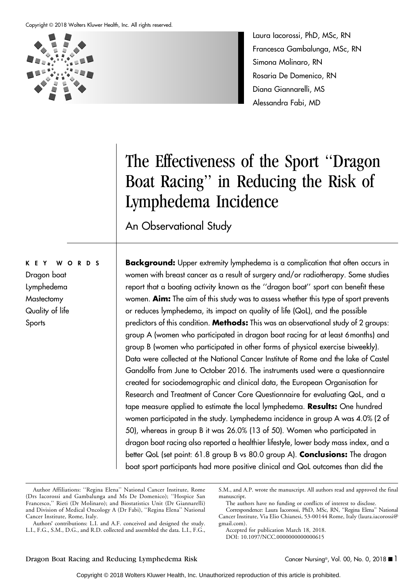

Laura Iacorossi, PhD, MSc, RN Francesca Gambalunga, MSc, RN Simona Molinaro, RN Rosaria De Domenico, RN Diana Giannarelli, MS Alessandra Fabi, MD

# The Effectiveness of the Sport ''Dragon Boat Racing'' in Reducing the Risk of Lymphedema Incidence

An Observational Study

**Background:** Upper extremity lymphedema is a complication that often occurs in women with breast cancer as a result of surgery and/or radiotherapy. Some studies report that a boating activity known as the ''dragon boat'' sport can benefit these women. Aim: The aim of this study was to assess whether this type of sport prevents or reduces lymphedema, its impact on quality of life (QoL), and the possible predictors of this condition. Methods: This was an observational study of 2 groups: group A (women who participated in dragon boat racing for at least 6months) and group B (women who participated in other forms of physical exercise biweekly). Data were collected at the National Cancer Institute of Rome and the lake of Castel Gandolfo from June to October 2016. The instruments used were a questionnaire created for sociodemographic and clinical data, the European Organisation for Research and Treatment of Cancer Core Questionnaire for evaluating QoL, and a tape measure applied to estimate the local lymphedema. Results: One hundred women participated in the study. Lymphedema incidence in group A was 4.0% (2 of 50), whereas in group B it was 26.0% (13 of 50). Women who participated in dragon boat racing also reported a healthier lifestyle, lower body mass index, and a better QoL (set point: 61.8 group B vs 80.0 group A). **Conclusions:** The dragon boat sport participants had more positive clinical and QoL outcomes than did the

Authors" contributions: L.I. and A.F. conceived and designed the study. L.I., F.G., S.M., D.G., and R.D. collected and assembled the data. L.I., F.G.,

S.M., and A.P. wrote the manuscript. All authors read and approved the final manuscript.

The authors have no funding or conflicts of interest to disclose.

Accepted for publication March 18, 2018. DOI: 10.1097/NCC.0000000000000615

# Dragon boat Lymphedema

KEY WORDS

**Mastectomy** Quality of life **Sports** 

Author Affiliations: ''Regina Elena'' National Cancer Institute, Rome (Drs Iacorossi and Gambalunga and Ms De Domenico); ''Hospice San Francesco,'' Rieti (Dr Molinaro); and Biostatistics Unit (Dr Giannarelli) and Division of Medical Oncology A (Dr Fabi), ''Regina Elena'' National Cancer Institute, Rome, Italy.

Correspondence: Laura Iacorossi, PhD, MSc, RN, ''Regina Elena'' National Cancer Institute, Via Elio Chianesi, 53-00144 Rome, Italy ([laura.iacorossi@](mailto:laura.iacorossi@gmail.com) [gmail.com\).](mailto:laura.iacorossi@gmail.com)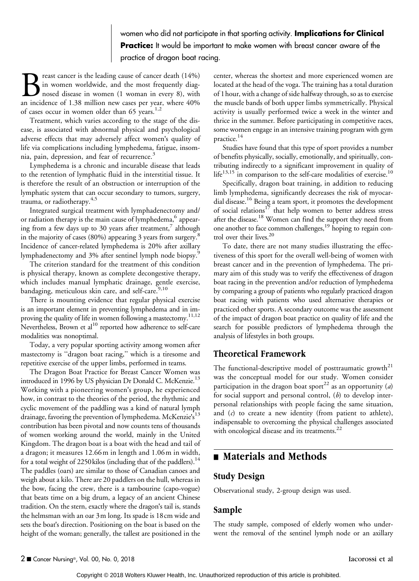### women who did not participate in that sporting activity. Implications for Clinical **Practice:** It would be important to make women with breast cancer aware ot the practice of dragon boat racing.

reast cancer is the leading cause of cancer death (14%) in women worldwide, and the most frequently diagnosed disease in women (1 woman in every 8), with an incidence of 1.38 million new cases per year, where 40% of cases occur in women older than 65 years.<sup>1,2</sup>

Treatment, which varies according to the stage of the disease, is associated with abnormal physical and psychological adverse effects that may adversely affect women"s quality of life via complications including lymphedema, fatigue, insomnia, pain, depression, and fear of recurrence.<sup>3</sup>

Lymphedema is a chronic and incurable disease that leads to the retention of lymphatic fluid in the interstitial tissue. It is therefore the result of an obstruction or interruption of the lymphatic system that can occur secondary to tumors, surgery, trauma, or radiotherapy.<sup>4,5</sup>

Integrated surgical treatment with lymphadenectomy and/ or radiation therapy is the main cause of lymphedema,<sup>6</sup> appearing from a few days up to 30 years after treatment, $^7$  although in the majority of cases (80%) appearing 3 years from surgery.<sup>8</sup> Incidence of cancer-related lymphedema is 20% after axillary lymphadenectomy and 3% after sentinel lymph node biopsy.<sup>5</sup>

The criterion standard for the treatment of this condition is physical therapy, known as complete decongestive therapy, which includes manual lymphatic drainage, gentle exercise, bandaging, meticulous skin care, and self-care.<sup>9,10</sup>

There is mounting evidence that regular physical exercise is an important element in preventing lymphedema and in improving the quality of life in women following a mastectomy.<sup>11,12</sup> Nevertheless, Brown et al<sup>10</sup> reported how adherence to self-care modalities was nonoptimal.

Today, a very popular sporting activity among women after mastectomy is ''dragon boat racing,'' which is a tiresome and repetitive exercise of the upper limbs, performed in teams.

The Dragon Boat Practice for Breast Cancer Women was introduced in 1996 by US physician Dr Donald C. McKenzie.<sup>13</sup> Working with a pioneering women"s group, he experienced how, in contrast to the theories of the period, the rhythmic and cyclic movement of the paddling was a kind of natural lymph drainage, favoring the prevention of lymphedema. McKenzie's<sup>13</sup> contribution has been pivotal and now counts tens of thousands of women working around the world, mainly in the United Kingdom. The dragon boat is a boat with the head and tail of a dragon; it measures 12.66m in length and 1.06m in width, for a total weight of 2250 kilos (including that of the paddlers).<sup>14</sup> The paddles (oars) are similar to those of Canadian canoes and weigh about a kilo. There are 20 paddlers on the hull, whereas in the bow, facing the crew, there is a tambourine (capo-vogue) that beats time on a big drum, a legacy of an ancient Chinese tradition. On the stern, exactly where the dragon"s tail is, stands the helmsman with an oar 3m long. Its spade is 18cm wide and sets the boat"s direction. Positioning on the boat is based on the height of the woman; generally, the tallest are positioned in the center, whereas the shortest and more experienced women are located at the head of the voga. The training has a total duration of 1hour, with a change of side halfway through, so as to exercise the muscle bands of both upper limbs symmetrically. Physical activity is usually performed twice a week in the winter and thrice in the summer. Before participating in competitive races, some women engage in an intensive training program with gym practice.<sup>14</sup>

Studies have found that this type of sport provides a number of benefits physically, socially, emotionally, and spiritually, contributing indirectly to a significant improvement in quality of  $l$ ife<sup>13,15</sup> in comparison to the self-care modalities of exercise.<sup>10</sup>

Specifically, dragon boat training, in addition to reducing limb lymphedema, significantly decreases the risk of myocardial disease.16 Being a team sport, it promotes the development of social relations<sup>17</sup> that help women to better address stress after the disease.<sup>18</sup> Women can find the support they need from one another to face common challenges,19 hoping to regain control over their lives.<sup>20</sup>

To date, there are not many studies illustrating the effectiveness of this sport for the overall well-being of women with breast cancer and in the prevention of lymphedema. The primary aim of this study was to verify the effectiveness of dragon boat racing in the prevention and/or reduction of lymphedema by comparing a group of patients who regularly practiced dragon boat racing with patients who used alternative therapies or practiced other sports. A secondary outcome was the assessment of the impact of dragon boat practice on quality of life and the search for possible predictors of lymphedema through the analysis of lifestyles in both groups.

### Theoretical Framework

The functional-descriptive model of posttraumatic growth<sup>21</sup> was the conceptual model for our study. Women consider participation in the dragon boat sport<sup>22</sup> as an opportunity (*a*) for social support and personal control,  $(b)$  to develop interpersonal relationships with people facing the same situation, and  $(c)$  to create a new identity (from patient to athlete), indispensable to overcoming the physical challenges associated with oncological disease and its treatments.<sup>22</sup>

## ■ Materials and Methods

### Study Design

Observational study, 2-group design was used.

#### Sample

The study sample, composed of elderly women who underwent the removal of the sentinel lymph node or an axillary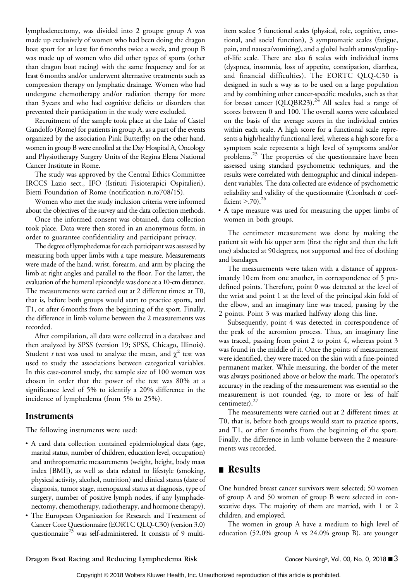lymphadenectomy, was divided into 2 groups: group A was made up exclusively of women who had been doing the dragon boat sport for at least for 6months twice a week, and group B was made up of women who did other types of sports (other than dragon boat racing) with the same frequency and for at least 6months and/or underwent alternative treatments such as compression therapy on lymphatic drainage. Women who had undergone chemotherapy and/or radiation therapy for more than 3years and who had cognitive deficits or disorders that prevented their participation in the study were excluded.

Recruitment of the sample took place at the Lake of Castel Gandolfo (Rome) for patients in group A, as a part of the events organized by the association Pink Butterfly; on the other hand, women in group B were enrolled at the Day Hospital A, Oncology and Physiotherapy Surgery Units of the Regina Elena National Cancer Institute in Rome.

The study was approved by the Central Ethics Committee IRCCS Lazio sect., IFO (Istituti Fisioterapici Ospitalieri), Bietti Foundation of Rome (notification n.ro708/15).

Women who met the study inclusion criteria were informed about the objectives of the survey and the data collection methods.

Once the informed consent was obtained, data collection took place. Data were then stored in an anonymous form, in order to guarantee confidentiality and participant privacy.

The degree of lymphedemas for each participant was assessed by measuring both upper limbs with a tape measure. Measurements were made of the hand, wrist, forearm, and arm by placing the limb at right angles and parallel to the floor. For the latter, the evaluation of the humeral epicondyle was done at a 10-cm distance. The measurements were carried out at 2 different times: at T0, that is, before both groups would start to practice sports, and T1, or after 6months from the beginning of the sport. Finally, the difference in limb volume between the 2 measurements was recorded.

After compilation, all data were collected in a database and then analyzed by SPSS (version 19; SPSS, Chicago, Illinois). Student *t* test was used to analyze the mean, and  $\chi^2$  test was used to study the associations between categorical variables. In this case-control study, the sample size of 100 women was chosen in order that the power of the test was 80% at a significance level of 5% to identify a 20% difference in the incidence of lymphedema (from 5% to 25%).

### Instruments

The following instruments were used:

- & A card data collection contained epidemiological data (age, marital status, number of children, education level, occupation) and anthropometric measurements (weight, height, body mass index [BMI]), as well as data related to lifestyle (smoking, physical activity, alcohol, nutrition) and clinical status (date of diagnosis, tumor stage, menopausal status at diagnosis, type of surgery, number of positive lymph nodes, if any lymphadenectomy, chemotherapy, radiotherapy, and hormone therapy).
- & The European Organisation for Research and Treatment of Cancer Core Questionnaire (EORTC QLQ-C30) (version 3.0) questionnaire<sup>23</sup> was self-administered. It consists of 9 multi-

item scales: 5 functional scales (physical, role, cognitive, emotional, and social function), 3 symptomatic scales (fatigue, pain, and nausea/vomiting), and a global health status/qualityof-life scale. There are also 6 scales with individual items (dyspnea, insomnia, loss of appetite, constipation, diarrhea, and financial difficulties). The EORTC QLQ-C30 is designed in such a way as to be used on a large population and by combining other cancer-specific modules, such as that for breast cancer (QLQBR23).<sup>24</sup> All scales had a range of scores between 0 and 100. The overall scores were calculated on the basis of the average scores in the individual entries within each scale. A high score for a functional scale represents a high/healthy functional level, whereas a high score for a symptom scale represents a high level of symptoms and/or problems.25 The properties of the questionnaire have been assessed using standard psychometric techniques, and the results were correlated with demographic and clinical independent variables. The data collected are evidence of psychometric reliability and validity of the questionnaire (Cronbach  $\alpha$  coefficient  $> 70$ ).<sup>26</sup>

& A tape measure was used for measuring the upper limbs of women in both groups.

The centimeter measurement was done by making the patient sit with his upper arm (first the right and then the left one) abducted at 90degrees, not supported and free of clothing and bandages.

The measurements were taken with a distance of approximately 10cm from one another, in correspondence of 5 predefined points. Therefore, point 0 was detected at the level of the wrist and point 1 at the level of the principal skin fold of the elbow, and an imaginary line was traced, passing by the 2 points. Point 3 was marked halfway along this line.

Subsequently, point 4 was detected in correspondence of the peak of the acromion process. Thus, an imaginary line was traced, passing from point 2 to point 4, whereas point 3 was found in the middle of it. Once the points of measurement were identified, they were traced on the skin with a fine-pointed permanent marker. While measuring, the border of the meter was always positioned above or below the mark. The operator"s accuracy in the reading of the measurement was essential so the measurement is not rounded (eg, to more or less of half centimeter).<sup>27</sup>

The measurements were carried out at 2 different times: at T0, that is, before both groups would start to practice sports, and T1, or after 6months from the beginning of the sport. Finally, the difference in limb volume between the 2 measurements was recorded.

### **n** Results

One hundred breast cancer survivors were selected; 50 women of group A and 50 women of group B were selected in consecutive days. The majority of them are married, with 1 or 2 children, and employed.

The women in group A have a medium to high level of education (52.0% group A vs 24.0% group B), are younger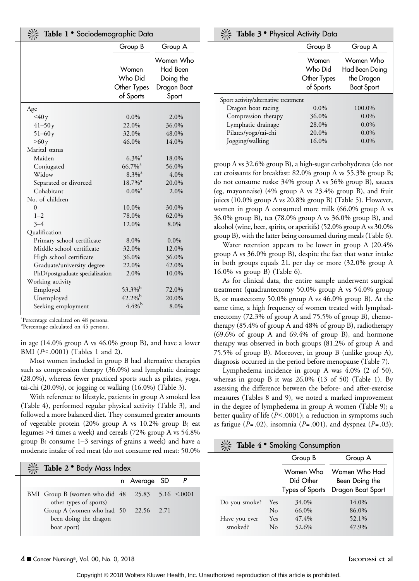| Table 1 • Sociodemographic Data |                                              |                                                            |  |  |
|---------------------------------|----------------------------------------------|------------------------------------------------------------|--|--|
|                                 | Group B                                      | Group A                                                    |  |  |
|                                 | Women<br>Who Did<br>Other Types<br>of Sports | Women Who<br>Had Been<br>Doing the<br>Dragon Boat<br>Sport |  |  |
| Age                             |                                              |                                                            |  |  |
| $<$ 40 y                        | $0.0\%$                                      | 2.0%                                                       |  |  |
| $41 - 50y$                      | 22.0%                                        | 36.0%                                                      |  |  |
| $51 - 60y$                      | 32.0%                                        | 48.0%                                                      |  |  |
| >60y                            | 46.0%                                        | 14.0%                                                      |  |  |
| Marital status                  |                                              |                                                            |  |  |
| Maiden                          | $6.3\%$ <sup>a</sup>                         | 18.0%                                                      |  |  |
| Conjugated                      | $66.7\%$ <sup>a</sup>                        | 56.0%                                                      |  |  |
| Widow                           | $8.3\%$ <sup>a</sup>                         | 4.0%                                                       |  |  |
| Separated or divorced           | $18.7\%$ <sup>a</sup>                        | 20.0%                                                      |  |  |
| Cohabitant                      | $0.0\%$ <sup>a</sup>                         | 2.0%                                                       |  |  |
| No. of children                 |                                              |                                                            |  |  |
| 0                               | 10.0%                                        | 30.0%                                                      |  |  |
| $1 - 2$                         | 78.0%                                        | 62.0%                                                      |  |  |
| $3 - 4$                         | 12.0%                                        | 8.0%                                                       |  |  |
| Qualification                   |                                              |                                                            |  |  |
| Primary school certificate      | 8.0%                                         | $0.0\%$                                                    |  |  |
| Middle school certificate       | 32.0%                                        | 12.0%                                                      |  |  |
| High school certificate         | 36.0%                                        | 36.0%                                                      |  |  |
| Graduate/university degree      | 22.0%                                        | 42.0%                                                      |  |  |
| PhD/postgraduate specialization | 2.0%                                         | 10.0%                                                      |  |  |
| Working activity                |                                              |                                                            |  |  |
| Employed                        | 53.3% <sup>b</sup>                           | 72.0%                                                      |  |  |
| Unemployed                      | $42.2\%$                                     | 20.0%                                                      |  |  |
| Seeking employment              | $4.4\%$                                      | 8.0%                                                       |  |  |

a Percentage calculated on 48 persons. <sup>b</sup>Percentage calculated on 45 persons.

in age (14.0% group A vs 46.0% group B), and have a lower

BMI  $(P<.0001)$  (Tables 1 and 2).

Most women included in group B had alternative therapies such as compression therapy (36.0%) and lymphatic drainage (28.0%), whereas fewer practiced sports such as pilates, yoga, tai-chi (20.0%), or jogging or walking (16.0%) (Table 3).

With reference to lifestyle, patients in group A smoked less (Table 4), performed regular physical activity (Table 3), and followed a more balanced diet. They consumed greater amounts of vegetable protein (20% group A vs 10.2% group B; eat legumes 94 times a week) and cereals (72% group A vs 54.8% group B; consume  $1-3$  servings of grains a week) and have a moderate intake of red meat (do not consume red meat: 50.0%

| Table 2 . Body Mass Index                                                    |  |              |  |  |  |  |  |
|------------------------------------------------------------------------------|--|--------------|--|--|--|--|--|
|                                                                              |  | n Average SD |  |  |  |  |  |
| BMI Group B (women who did $48$ 25.83 5.16 <.0001<br>other types of sports)  |  |              |  |  |  |  |  |
| Group A (women who had 50 22.56 2.71<br>been doing the dragon<br>boat sport) |  |              |  |  |  |  |  |

| Table 3 • Physical Activity Data     |                                              |                                                                |  |  |  |
|--------------------------------------|----------------------------------------------|----------------------------------------------------------------|--|--|--|
|                                      | Group B                                      | Group A                                                        |  |  |  |
|                                      | Women<br>Who Did<br>Other Types<br>of Sports | Women Who<br>Had Been Doing<br>the Dragon<br><b>Boat Sport</b> |  |  |  |
| Sport activity/alternative treatment |                                              |                                                                |  |  |  |
| Dragon boat racing                   | $0.0\%$                                      | 100.0%                                                         |  |  |  |
| Compression therapy                  | 36.0%                                        | $0.0\%$                                                        |  |  |  |
| Lymphatic drainage                   | 28.0%                                        | $0.0\%$                                                        |  |  |  |
| Pilates/yoga/tai-chi                 | 20.0%                                        | $0.0\%$                                                        |  |  |  |
| Jogging/walking                      | 16.0%                                        | $0.0\%$                                                        |  |  |  |

group A vs 32.6% group B), a high-sugar carbohydrates (do not eat croissants for breakfast: 82.0% group A vs 55.3% group B; do not consume rusks: 34% group A vs 56% group B), sauces (eg, mayonnaise) (4% group A vs 23.4% group B), and fruit juices (10.0% group A vs 20.8% group B) (Table 5). However, women in group A consumed more milk (66.0% group A vs 36.0% group B), tea (78.0% group A vs 36.0% group B), and alcohol (wine, beer, spirits, or aperitifs) (52.0% group A vs 30.0% group B), with the latter being consumed during meals (Table 6).

Water retention appears to be lower in group A (20.4% group A vs 36.0% group B), despite the fact that water intake in both groups equals 2L per day or more (32.0% group A 16.0% vs group B) (Table 6).

As for clinical data, the entire sample underwent surgical treatment (quadrantectomy 50.0% group A vs 54.0% group B, or mastectomy 50.0% group A vs 46.0% group B). At the same time, a high frequency of women treated with lymphadenectomy (72.3% of group A and 75.5% of group B), chemotherapy (85.4% of group A and 48% of group B), radiotherapy (69.6% of group A and 69.4% of group B), and hormone therapy was observed in both groups (81.2% of group A and 75.5% of group B). Moreover, in group B (unlike group A), diagnosis occurred in the period before menopause (Table 7).

Lymphedema incidence in group A was 4.0% (2 of 50), whereas in group B it was 26.0% (13 of 50) (Table 1). By assessing the difference between the before- and after-exercise measures (Tables 8 and 9), we noted a marked improvement in the degree of lymphedema in group A women (Table 9); a better quality of life ( $P<.0001$ ); a reduction in symptoms such as fatigue ( $P = .02$ ), insomnia ( $P = .001$ ), and dyspnea ( $P = .03$ );

| <b>※ Table 4 • Smoking Consumption</b> |                                                     |  |  |  |  |
|----------------------------------------|-----------------------------------------------------|--|--|--|--|
| Group B                                | Group A                                             |  |  |  |  |
|                                        | Women Who Women Who Had<br>Did Other Been Doing the |  |  |  |  |

|               |     |       | Types of Sports Dragon Boat Sport |
|---------------|-----|-------|-----------------------------------|
| Do you smoke? | Yes | 34.0% | 14.0%                             |
|               | No  | 66.0% | 86.0%                             |
| Have you ever | Yes | 47.4% | 52.1%                             |
| smoked?       | No  | 52.6% | 47.9%                             |

#### 4 ■ Cancer Nursing®, Vol. 00, No. 0, 2018 Iacorossi et al

Copyright © 2018 Wolters Kluwer Health, Inc. Unauthorized reproduction of this article is prohibited.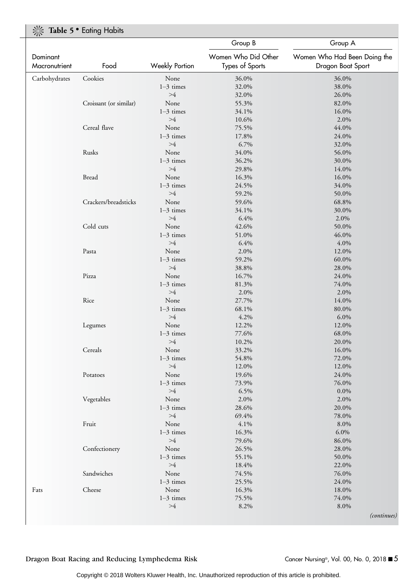### **K** Table 5  $\bullet$  Eating Habits

|               |                        |                       | Group B             | Group A                      |
|---------------|------------------------|-----------------------|---------------------|------------------------------|
| Dominant      |                        |                       | Women Who Did Other | Women Who Had Been Doing the |
| Macronutrient | Food                   | <b>Weekly Portion</b> | Types of Sports     | Dragon Boat Sport            |
| Carbohydrates | Cookies                | None                  | 36.0%               | 36.0%                        |
|               |                        | $1-3$ times           | 32.0%               | 38.0%                        |
|               |                        | >4                    | 32.0%               | 26.0%                        |
|               | Croissant (or similar) | None                  | 55.3%               | 82.0%                        |
|               |                        | $1-3$ times           | 34.1%               | 16.0%                        |
|               |                        | >4                    | 10.6%               | 2.0%                         |
|               | Cereal flave           | None                  | 75.5%               | 44.0%                        |
|               |                        | $1-3$ times           | 17.8%               | 24.0%                        |
|               |                        | >4                    | 6.7%                | 32.0%                        |
|               | Rusks                  | None                  | 34.0%               | 56.0%                        |
|               |                        | $1-3$ times           | 36.2%               | 30.0%                        |
|               |                        | $>\!\!4$              | 29.8%               | 14.0%                        |
|               | <b>Bread</b>           | None                  | 16.3%               | 16.0%                        |
|               |                        | $1-3$ times           | 24.5%               | 34.0%                        |
|               |                        | >4                    | 59.2%               | 50.0%                        |
|               | Crackers/breadsticks   | None                  | 59.6%               | 68.8%                        |
|               |                        | $1-3$ times           | 34.1%               | 30.0%                        |
|               |                        | >4                    | 6.4%                | 2.0%                         |
|               | Cold cuts              | None                  | 42.6%               | 50.0%                        |
|               |                        | $1-3$ times           | 51.0%               | 46.0%                        |
|               |                        | >4                    | 6.4%                | 4.0%                         |
|               | Pasta                  | None                  | 2.0%                | 12.0%                        |
|               |                        | $1-3$ times           | 59.2%               | 60.0%                        |
|               |                        | >4                    | 38.8%               | 28.0%                        |
|               | Pizza                  | None                  | 16.7%               | 24.0%                        |
|               |                        | $1-3$ times           | 81.3%               | 74.0%                        |
|               |                        | >4                    | 2.0%                | 2.0%                         |
|               | Rice                   | None                  | 27.7%               | 14.0%                        |
|               |                        | $1-3$ times           | 68.1%               | 80.0%                        |
|               |                        | $>\!\!4$              | 4.2%                | 6.0%                         |
|               | Legumes                | None                  | 12.2%               | 12.0%                        |
|               |                        | $1-3$ times           | 77.6%               | 68.0%                        |
|               |                        | $>\!\!4$              | 10.2%               | 20.0%                        |
|               | Cereals                | None                  | 33.2%               | 16.0%                        |
|               |                        | $1-3$ times           | 54.8%               | 72.0%                        |
|               |                        | >4                    | 12.0%               | 12.0%                        |
|               | Potatoes               | None                  | 19.6%               | 24.0%                        |
|               |                        | $1-3$ times           | 73.9%               | 76.0%                        |
|               |                        | >4                    | 6.5%                | 0.0%                         |
|               | Vegetables             | None                  | 2.0%                | 2.0%                         |
|               |                        | $1-3$ times           | 28.6%               | 20.0%                        |
|               |                        | >4                    | 69.4%               | 78.0%                        |
|               | Fruit                  | None                  | 4.1%                | 8.0%                         |
|               |                        | $1-3$ times           | 16.3%               | 6.0%                         |
|               |                        | >4                    | 79.6%               | 86.0%                        |
|               | Confectionery          | None                  | 26.5%               | 28.0%                        |
|               |                        | $1-3$ times           | 55.1%               | 50.0%                        |
|               |                        | >4                    | 18.4%               | 22.0%                        |
|               | Sandwiches             | None                  | 74.5%               | 76.0%                        |
|               |                        | $1-3$ times           | 25.5%               | 24.0%                        |
| Fats          | Cheese                 | None                  | 16.3%               | 18.0%                        |
|               |                        | $1-3$ times           | 75.5%               | 74.0%                        |
|               |                        | >4                    | 8.2%                | 8.0%                         |
|               |                        |                       |                     |                              |
|               |                        |                       |                     | <i>(continues)</i>           |

Dragon Boat Racing and Reducing Lymphedema Risk Cancer Nursing®, Vol. 00, No. 0, 2018 ■ 5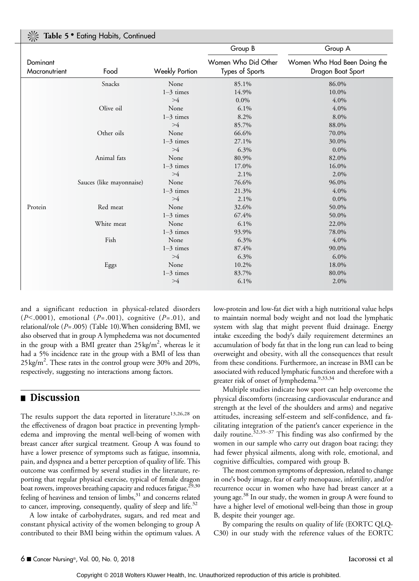|  | Table 5 • Eating Habits, Continued |  |
|--|------------------------------------|--|
|  |                                    |  |
|  |                                    |  |

|                           |                          |                | Group B                                | Group A                                           |
|---------------------------|--------------------------|----------------|----------------------------------------|---------------------------------------------------|
| Dominant<br>Macronutrient | Food                     | Weekly Portion | Women Who Did Other<br>Types of Sports | Women Who Had Been Doing the<br>Dragon Boat Sport |
|                           | Snacks                   | None           | 85.1%                                  | 86.0%                                             |
|                           |                          | $1-3$ times    | 14.9%                                  | 10.0%                                             |
|                           |                          | >4             | $0.0\%$                                | 4.0%                                              |
|                           | Olive oil                | None           | 6.1%                                   | 4.0%                                              |
|                           |                          | $1-3$ times    | 8.2%                                   | 8.0%                                              |
|                           |                          | >4             | 85.7%                                  | 88.0%                                             |
|                           | Other oils               | None           | 66.6%                                  | 70.0%                                             |
|                           |                          | $1-3$ times    | 27.1%                                  | 30.0%                                             |
|                           |                          | >4             | 6.3%                                   | $0.0\%$                                           |
|                           | Animal fats              | None           | 80.9%                                  | 82.0%                                             |
|                           |                          | $1-3$ times    | 17.0%                                  | 16.0%                                             |
|                           |                          | >4             | 2.1%                                   | 2.0%                                              |
|                           | Sauces (like mayonnaise) | None           | 76.6%                                  | 96.0%                                             |
|                           |                          | $1-3$ times    | 21.3%                                  | 4.0%                                              |
|                           |                          | >4             | 2.1%                                   | $0.0\%$                                           |
| Protein                   | Red meat                 | None           | 32.6%                                  | 50.0%                                             |
|                           |                          | $1-3$ times    | 67.4%                                  | 50.0%                                             |
|                           | White meat               | None           | 6.1%                                   | 22.0%                                             |
|                           |                          | $1-3$ times    | 93.9%                                  | 78.0%                                             |
|                           | Fish                     | None           | 6.3%                                   | 4.0%                                              |
|                           |                          | $1-3$ times    | 87.4%                                  | 90.0%                                             |
|                           |                          | >4             | 6.3%                                   | $6.0\%$                                           |
|                           | Eggs                     | None           | 10.2%                                  | 18.0%                                             |
|                           |                          | $1-3$ times    | 83.7%                                  | 80.0%                                             |
|                           |                          | >4             | 6.1%                                   | 2.0%                                              |

and a significant reduction in physical-related disorders  $(P<.0001)$ , emotional  $(P=.001)$ , cognitive  $(P=.01)$ , and relational/role ( $P = .005$ ) (Table 10). When considering BMI, we also observed that in group A lymphedema was not documented in the group with a BMI greater than  $25 \text{ kg/m}^2$ , whereas le it had a 5% incidence rate in the group with a BMI of less than 25 kg/m<sup>2</sup>. These rates in the control group were 30% and 20%, respectively, suggesting no interactions among factors.

### ■ Discussion

The results support the data reported in literature<sup>13,26,28</sup> on the effectiveness of dragon boat practice in preventing lymphedema and improving the mental well-being of women with breast cancer after surgical treatment. Group A was found to have a lower presence of symptoms such as fatigue, insomnia, pain, and dyspnea and a better perception of quality of life. This outcome was confirmed by several studies in the literature, reporting that regular physical exercise, typical of female dragon boat rowers, improves breathing capacity and reduces fatigue,  $^{29,30}$ feeling of heaviness and tension of limbs,<sup>31</sup> and concerns related to cancer, improving, consequently, quality of sleep and life. $32$ 

A low intake of carbohydrates, sugars, and red meat and constant physical activity of the women belonging to group A contributed to their BMI being within the optimum values. A low-protein and low-fat diet with a high nutritional value helps to maintain normal body weight and not load the lymphatic system with slag that might prevent fluid drainage. Energy intake exceeding the body"s daily requirement determines an accumulation of body fat that in the long run can lead to being overweight and obesity, with all the consequences that result from these conditions. Furthermore, an increase in BMI can be associated with reduced lymphatic function and therefore with a greater risk of onset of lymphedema.9,33,34

Multiple studies indicate how sport can help overcome the physical discomforts (increasing cardiovascular endurance and strength at the level of the shoulders and arms) and negative attitudes, increasing self-esteem and self-confidence, and facilitating integration of the patient's cancer experience in the daily routine.<sup>32,35–37</sup> This finding was also confirmed by the women in our sample who carry out dragon boat racing; they had fewer physical ailments, along with role, emotional, and cognitive difficulties, compared with group B.

The most common symptoms of depression, related to change in one"s body image, fear of early menopause, infertility, and/or recurrence occur in women who have had breast cancer at a young age.<sup>38</sup> In our study, the women in group A were found to have a higher level of emotional well-being than those in group B, despite their younger age.

By comparing the results on quality of life (EORTC QLQ-C30) in our study with the reference values of the EORTC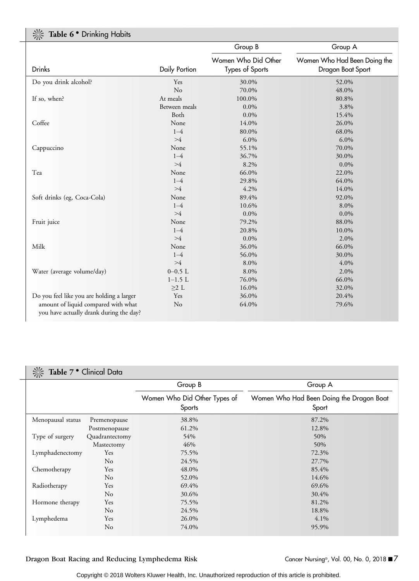| Table 6 . Drinking Habits                                                      |               |                                        |                                                   |  |  |
|--------------------------------------------------------------------------------|---------------|----------------------------------------|---------------------------------------------------|--|--|
|                                                                                |               | Group B                                | Group A                                           |  |  |
| Drinks                                                                         | Daily Portion | Women Who Did Other<br>Types of Sports | Women Who Had Been Doing the<br>Dragon Boat Sport |  |  |
|                                                                                |               |                                        |                                                   |  |  |
| Do you drink alcohol?                                                          | Yes           | 30.0%                                  | 52.0%                                             |  |  |
|                                                                                | No            | 70.0%                                  | 48.0%                                             |  |  |
| If so, when?                                                                   | At meals      | 100.0%                                 | 80.8%                                             |  |  |
|                                                                                | Between meals | $0.0\%$                                | 3.8%                                              |  |  |
|                                                                                | Both          | $0.0\%$                                | 15.4%                                             |  |  |
| Coffee                                                                         | None          | 14.0%                                  | 26.0%                                             |  |  |
|                                                                                | $1 - 4$       | 80.0%                                  | 68.0%                                             |  |  |
|                                                                                | >4            | 6.0%                                   | 6.0%                                              |  |  |
| Cappuccino                                                                     | None          | 55.1%                                  | 70.0%                                             |  |  |
|                                                                                | $1 - 4$       | 36.7%                                  | 30.0%                                             |  |  |
|                                                                                | >4            | 8.2%                                   | $0.0\%$                                           |  |  |
| Tea                                                                            | None          | 66.0%                                  | 22.0%                                             |  |  |
|                                                                                | $1 - 4$       | 29.8%                                  | 64.0%                                             |  |  |
|                                                                                | >4            | 4.2%                                   | 14.0%                                             |  |  |
| Soft drinks (eg, Coca-Cola)                                                    | None          | 89.4%                                  | 92.0%                                             |  |  |
|                                                                                | $1 - 4$       | 10.6%                                  | 8.0%                                              |  |  |
|                                                                                | >4            | $0.0\%$                                | $0.0\%$                                           |  |  |
| Fruit juice                                                                    | None          | 79.2%                                  | 88.0%                                             |  |  |
|                                                                                | $1 - 4$       | 20.8%                                  | 10.0%                                             |  |  |
|                                                                                | >4            | $0.0\%$                                | 2.0%                                              |  |  |
| Milk                                                                           | None          | 36.0%                                  | 66.0%                                             |  |  |
|                                                                                | $1 - 4$       | 56.0%                                  | 30.0%                                             |  |  |
|                                                                                | >4            | 8.0%                                   | 4.0%                                              |  |  |
| Water (average volume/day)                                                     | $0 - 0.5$ L   | 8.0%                                   | 2.0%                                              |  |  |
|                                                                                | $1-1.5$ L     | 76.0%                                  | 66.0%                                             |  |  |
|                                                                                | $\geq$ 2 L    | 16.0%                                  | 32.0%                                             |  |  |
| Do you feel like you are holding a larger                                      | Yes           | 36.0%                                  | 20.4%                                             |  |  |
| amount of liquid compared with what<br>you have actually drank during the day? | No            | 64.0%                                  | 79.6%                                             |  |  |

# $\frac{1}{2}$  Table 7  $\bullet$  Clinical Data

|                   |                | Group B                                | Group A                                           |
|-------------------|----------------|----------------------------------------|---------------------------------------------------|
|                   |                | Women Who Did Other Types of<br>Sports | Women Who Had Been Doing the Dragon Boat<br>Sport |
| Menopausal status | Premenopause   | 38.8%                                  | 87.2%                                             |
|                   | Postmenopause  | 61.2%                                  | 12.8%                                             |
| Type of surgery   | Quadrantectomy | 54%                                    | 50%                                               |
|                   | Mastectomy     | 46%                                    | 50%                                               |
| Lymphadenectomy   | Yes            | 75.5%                                  | 72.3%                                             |
|                   | No             | 24.5%                                  | 27.7%                                             |
| Chemotherapy      | Yes            | 48.0%                                  | 85.4%                                             |
|                   | No             | 52.0%                                  | 14.6%                                             |
| Radiotherapy      | Yes            | 69.4%                                  | 69.6%                                             |
|                   | No             | 30.6%                                  | 30.4%                                             |
| Hormone therapy   | Yes            | 75.5%                                  | 81.2%                                             |
|                   | No             | 24.5%                                  | 18.8%                                             |
| Lymphedema        | Yes            | 26.0%                                  | 4.1%                                              |
|                   | No             | 74.0%                                  | 95.9%                                             |

Dragon Boat Racing and Reducing Lymphedema Risk Cancer Nursing®, Vol. 00, No. 0, 2018 ■7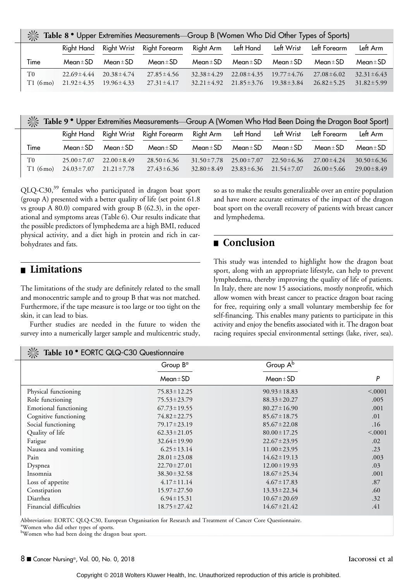|  | <b>Extremally 20 ° Upper Extremities Measurements—Group B (Women Who Did Other Types of Sports)</b> |  |  |
|--|-----------------------------------------------------------------------------------------------------|--|--|
|  |                                                                                                     |  |  |

|               | Right Hand                           | Right Wrist                          | Right Forearm                        | Right Arm                            | Left Hand                            | Left Wrist                           | Left Forearm                         | Left Arm                             |
|---------------|--------------------------------------|--------------------------------------|--------------------------------------|--------------------------------------|--------------------------------------|--------------------------------------|--------------------------------------|--------------------------------------|
| Time          | $Mean \pm SD$                        | Mean $\pm$ SD                        | $Mean \pm SD$                        | Mean $\pm$ SD                        | Mean $\pm$ SD                        | Mean $\pm$ SD                        | Mean $\pm$ SD                        | Mean $\pm$ SD                        |
| T0<br>T1(6mo) | $22.69 \pm 4.44$<br>$21.92 \pm 4.35$ | $20.38 \pm 4.74$<br>$19.96 \pm 4.33$ | $27.85 \pm 4.56$<br>$27.31 \pm 4.17$ | $32.38 \pm 4.29$<br>$32.21 \pm 4.92$ | $22.08 \pm 4.35$<br>$21.85 \pm 3.76$ | $19.77 \pm 4.76$<br>$19.38 \pm 3.84$ | $27.08 \pm 6.02$<br>$26.82 \pm 5.25$ | $32.31 \pm 6.43$<br>$31.82 \pm 5.99$ |

| Table 9 • Upper Extremities Measurements—Group A (Women Who Had Been Doing the Dragon Boat Sport) |  |  |  |
|---------------------------------------------------------------------------------------------------|--|--|--|
|                                                                                                   |  |  |  |
|                                                                                                   |  |  |  |
|                                                                                                   |  |  |  |

|                           | Right Hand                           | <b>Right Wrist</b>                   | Right Forearm                        | Right Arm                            | Left Hand                            | Left Wrist                           | Left Forearm                         | Left Arm                             |
|---------------------------|--------------------------------------|--------------------------------------|--------------------------------------|--------------------------------------|--------------------------------------|--------------------------------------|--------------------------------------|--------------------------------------|
| Time                      | $Mean \pm SD$                        | Mean $\pm$ SD                        | Mean $\pm$ SD                        | $Mean \pm SD$                        | Mean $\pm$ SD                        | Mean $\pm$ SD                        | Mean $\pm$ SD                        | $Mean \pm SD$                        |
| T <sub>0</sub><br>T1(6mo) | $25.00 \pm 7.07$<br>$24.03 \pm 7.07$ | $22.00 \pm 8.49$<br>$21.21 \pm 7.78$ | $28.50 \pm 6.36$<br>$27.43 \pm 6.36$ | $31.50 \pm 7.78$<br>$32.80 \pm 8.49$ | $25.00 \pm 7.07$<br>$23.83 \pm 6.36$ | $22.50 \pm 6.36$<br>$21.54 \pm 7.07$ | $27.00 \pm 4.24$<br>$26.00 \pm 5.66$ | $30.50 \pm 6.36$<br>$29.00 \pm 8.49$ |

QLQ-C30,<sup>39</sup> females who participated in dragon boat sport (group A) presented with a better quality of life (set point 61.8 vs group A 80.0) compared with group B (62.3), in the operational and symptoms areas (Table 6). Our results indicate that the possible predictors of lymphedema are a high BMI, reduced physical activity, and a diet high in protein and rich in carbohydrates and fats.

#### so as to make the results generalizable over an entire population and have more accurate estimates of the impact of the dragon boat sport on the overall recovery of patients with breast cancer and lymphedema.

### ■ Conclusion

### **n** Limitations

The limitations of the study are definitely related to the small and monocentric sample and to group B that was not matched. Furthermore, if the tape measure is too large or too tight on the skin, it can lead to bias.

Further studies are needed in the future to widen the survey into a numerically larger sample and multicentric study,

 $\frac{1}{2}$  Table 10  $\bullet$  EORTC QLO-C30 Questionnaire

This study was intended to highlight how the dragon boat sport, along with an appropriate lifestyle, can help to prevent lymphedema, thereby improving the quality of life of patients. In Italy, there are now 15 associations, mostly nonprofit, which allow women with breast cancer to practice dragon boat racing for free, requiring only a small voluntary membership fee for self-financing. This enables many patients to participate in this activity and enjoy the benefits associated with it. The dragon boat racing requires special environmental settings (lake, river, sea).

| -260<br>Table To<br>LONIC QLQ-CJU QUESIIOIIIIQII E |                      |                      |        |  |  |
|----------------------------------------------------|----------------------|----------------------|--------|--|--|
|                                                    | Group B <sup>a</sup> | Group A <sup>b</sup> |        |  |  |
|                                                    | $Mean \pm SD$        | $Mean \pm SD$        | P      |  |  |
| Physical functioning                               | $75.83 \pm 12.25$    | $90.93 \pm 18.83$    | < 0001 |  |  |
| Role functioning                                   | $75.53 \pm 23.79$    | $88.33 \pm 20.27$    | .005   |  |  |
| Emotional functioning                              | $67.73 \pm 19.55$    | $80.27 \pm 16.90$    | .001   |  |  |
| Cognitive functioning                              | 74.82 ± 22.75        | $85.67 \pm 18.75$    | .01    |  |  |
| Social functioning                                 | $79.17 \pm 23.19$    | $85.67 \pm 22.08$    | .16    |  |  |
| Quality of life                                    | $62.33 \pm 21.05$    | $80.00 \pm 17.25$    | < 0001 |  |  |
| Fatigue                                            | $32.64 \pm 19.90$    | $22.67 \pm 23.95$    | .02    |  |  |
| Nausea and vomiting                                | $6.25 \pm 13.14$     | $11.00 \pm 23.95$    | .23    |  |  |
| Pain                                               | $28.01 \pm 23.08$    | $14.62 \pm 19.13$    | .003   |  |  |
| Dyspnea                                            | $22.70 \pm 27.01$    | $12.00 \pm 19.93$    | .03    |  |  |
| Insomnia                                           | $38.30 \pm 32.58$    | $18.67 \pm 25.34$    | .001   |  |  |
| Loss of appetite                                   | $4.17 \pm 11.14$     | $4.67 \pm 17.83$     | .87    |  |  |
| Constipation                                       | $15.97 \pm 27.50$    | $13.33 \pm 22.34$    | .60    |  |  |
| Diarrhea                                           | $6.94 \pm 15.31$     | $10.67 \pm 20.69$    | .32    |  |  |
| Financial difficulties                             | $18.75 \pm 27.42$    | $14.67 \pm 21.42$    | .41    |  |  |

Abbreviation: EORTC QLQ-C30, European Organisation for Research and Treatment of Cancer Core Questionnaire. a Women who did other types of sports.

bWomen who had been doing the dragon boat sport.